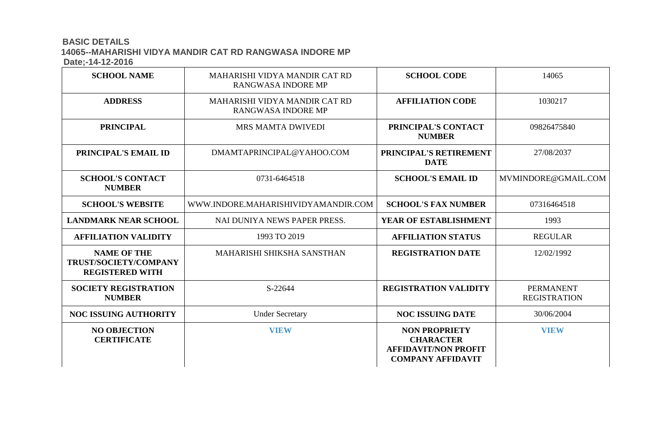#### **BASIC DETAILS 14065--MAHARISHI VIDYA MANDIR CAT RD RANGWASA INDORE MP Date;-14-12-2016**

| $P^{\text{u}}(V)$ it is ever                                          |                                                     |                                                                                                     |                                         |
|-----------------------------------------------------------------------|-----------------------------------------------------|-----------------------------------------------------------------------------------------------------|-----------------------------------------|
| <b>SCHOOL NAME</b>                                                    | MAHARISHI VIDYA MANDIR CAT RD<br>RANGWASA INDORE MP | <b>SCHOOL CODE</b>                                                                                  | 14065                                   |
| <b>ADDRESS</b>                                                        | MAHARISHI VIDYA MANDIR CAT RD<br>RANGWASA INDORE MP | <b>AFFILIATION CODE</b>                                                                             | 1030217                                 |
| <b>PRINCIPAL</b>                                                      | MRS MAMTA DWIVEDI                                   | PRINCIPAL'S CONTACT<br><b>NUMBER</b>                                                                | 09826475840                             |
| PRINCIPAL'S EMAIL ID                                                  | DMAMTAPRINCIPAL@YAHOO.COM                           | PRINCIPAL'S RETIREMENT<br><b>DATE</b>                                                               | 27/08/2037                              |
| <b>SCHOOL'S CONTACT</b><br><b>NUMBER</b>                              | 0731-6464518                                        | <b>SCHOOL'S EMAIL ID</b>                                                                            | MVMINDORE@GMAIL.COM                     |
| <b>SCHOOL'S WEBSITE</b>                                               | WWW.INDORE.MAHARISHIVIDYAMANDIR.COM                 | <b>SCHOOL'S FAX NUMBER</b>                                                                          | 07316464518                             |
| <b>LANDMARK NEAR SCHOOL</b>                                           | NAI DUNIYA NEWS PAPER PRESS.                        | YEAR OF ESTABLISHMENT                                                                               | 1993                                    |
| <b>AFFILIATION VALIDITY</b>                                           | 1993 TO 2019                                        | <b>AFFILIATION STATUS</b>                                                                           | <b>REGULAR</b>                          |
| <b>NAME OF THE</b><br>TRUST/SOCIETY/COMPANY<br><b>REGISTERED WITH</b> | <b>MAHARISHI SHIKSHA SANSTHAN</b>                   | <b>REGISTRATION DATE</b>                                                                            | 12/02/1992                              |
| <b>SOCIETY REGISTRATION</b><br><b>NUMBER</b>                          | S-22644                                             | <b>REGISTRATION VALIDITY</b>                                                                        | <b>PERMANENT</b><br><b>REGISTRATION</b> |
| <b>NOC ISSUING AUTHORITY</b>                                          | <b>Under Secretary</b>                              | <b>NOC ISSUING DATE</b>                                                                             | 30/06/2004                              |
| <b>NO OBJECTION</b><br><b>CERTIFICATE</b>                             | <b>VIEW</b>                                         | <b>NON PROPRIETY</b><br><b>CHARACTER</b><br><b>AFFIDAVIT/NON PROFIT</b><br><b>COMPANY AFFIDAVIT</b> | <b>VIEW</b>                             |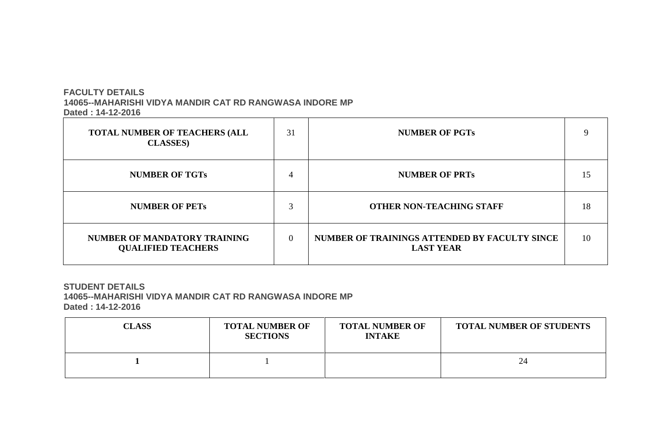# **FACULTY DETAILS 14065--MAHARISHI VIDYA MANDIR CAT RD RANGWASA INDORE MP Dated : 14-12-2016**

| <b>TOTAL NUMBER OF TEACHERS (ALL</b><br><b>CLASSES</b> )  | 31       | <b>NUMBER OF PGTs</b>                                             | 9  |
|-----------------------------------------------------------|----------|-------------------------------------------------------------------|----|
| <b>NUMBER OF TGTs</b>                                     | 4        | <b>NUMBER OF PRTs</b>                                             | 15 |
| <b>NUMBER OF PETS</b>                                     | ⌒        | <b>OTHER NON-TEACHING STAFF</b>                                   | 18 |
| NUMBER OF MANDATORY TRAINING<br><b>QUALIFIED TEACHERS</b> | $\Omega$ | NUMBER OF TRAININGS ATTENDED BY FACULTY SINCE<br><b>LAST YEAR</b> | 10 |

## **STUDENT DETAILS 14065--MAHARISHI VIDYA MANDIR CAT RD RANGWASA INDORE MP Dated : 14-12-2016**

| <b>CLASS</b> | <b>TOTAL NUMBER OF</b><br><b>SECTIONS</b> | <b>TOTAL NUMBER OF</b><br><b>INTAKE</b> | <b>TOTAL NUMBER</b> |
|--------------|-------------------------------------------|-----------------------------------------|---------------------|
|              |                                           |                                         | 24                  |

┬

# **NUMBER OF STUDENTS**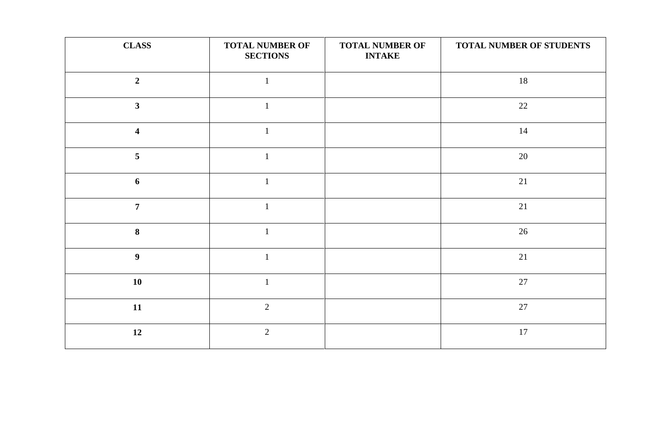| <b>CLASS</b>     | <b>TOTAL NUMBER OF</b><br><b>SECTIONS</b> | <b>TOTAL NUMBER OF</b><br><b>INTAKE</b> | TOTAL NUMBER OF STUDENTS |
|------------------|-------------------------------------------|-----------------------------------------|--------------------------|
| $\overline{2}$   |                                           |                                         | 18                       |
| $\mathbf{3}$     |                                           |                                         | 22                       |
| 4                |                                           |                                         | 14                       |
| 5                |                                           |                                         | 20                       |
| 6                |                                           |                                         | 21                       |
| $\overline{7}$   |                                           |                                         | 21                       |
| 8                |                                           |                                         | 26                       |
| $\boldsymbol{9}$ |                                           |                                         | 21                       |
| <b>10</b>        | $\overline{1}$                            |                                         | 27                       |
| 11               | $\overline{2}$                            |                                         | $27\,$                   |
| 12               | $\overline{2}$                            |                                         | $17\,$                   |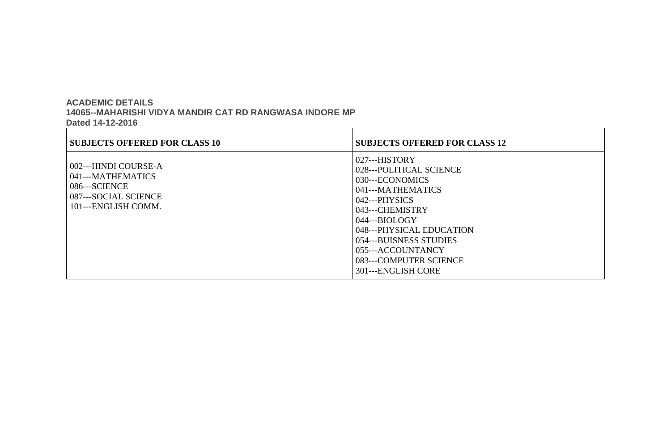### **ACADEMIC DETAILS 14065--MAHARISHI VIDYA MANDIR CAT RD RANGWASA INDORE MP Dated 14-12-2016**

| <b>SUBJECTS OFFERED FOR CLASS 10</b>                                                                      | <b>SUBJECTS OFFERED FOR CLASS 12</b>                                                                                                                                                                                                                                |
|-----------------------------------------------------------------------------------------------------------|---------------------------------------------------------------------------------------------------------------------------------------------------------------------------------------------------------------------------------------------------------------------|
| 002---HINDI COURSE-A<br>041---MATHEMATICS<br>086---SCIENCE<br>087---SOCIAL SCIENCE<br>101---ENGLISH COMM. | $027--HISTORY$<br>028---POLITICAL SCIENCE<br>030---ECONOMICS<br>041---MATHEMATICS<br>$042--PHYSICS$<br>043---CHEMISTRY<br>$044--BIOLOGY$<br>048---PHYSICAL EDUCATION<br>054---BUISNESS STUDIES<br>055---ACCOUNTANCY<br>083---COMPUTER SCIENCE<br>301---ENGLISH CORE |

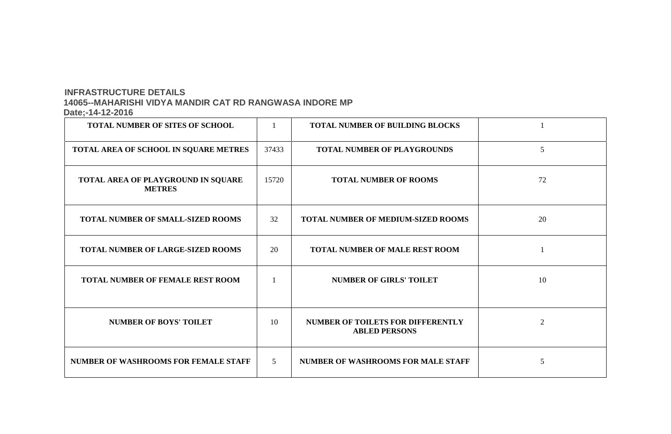### **INFRASTRUCTURE DETAILS 14065--MAHARISHI VIDYA MANDIR CAT RD RANGWASA INDORE MP Date;-14-12-2016**

| <b>TOTAL NUMBER OF SITES OF SCHOOL</b>              |                | <b>TOTAL NUMBER OF BUILDING BLOCKS</b>                           |                 |
|-----------------------------------------------------|----------------|------------------------------------------------------------------|-----------------|
| TOTAL AREA OF SCHOOL IN SQUARE METRES               | 37433          | <b>TOTAL NUMBER OF PLAYGROUNDS</b>                               | $5\overline{)}$ |
| TOTAL AREA OF PLAYGROUND IN SQUARE<br><b>METRES</b> | 15720          | <b>TOTAL NUMBER OF ROOMS</b>                                     | 72              |
| <b>TOTAL NUMBER OF SMALL-SIZED ROOMS</b>            | 32             | <b>TOTAL NUMBER OF MEDIUM-SIZED ROOMS</b>                        | 20              |
| <b>TOTAL NUMBER OF LARGE-SIZED ROOMS</b>            | 20             | <b>TOTAL NUMBER OF MALE REST ROOM</b>                            |                 |
| <b>TOTAL NUMBER OF FEMALE REST ROOM</b>             |                | <b>NUMBER OF GIRLS' TOILET</b>                                   | 10              |
| <b>NUMBER OF BOYS' TOILET</b>                       | 10             | <b>NUMBER OF TOILETS FOR DIFFERENTLY</b><br><b>ABLED PERSONS</b> | 2               |
| <b>NUMBER OF WASHROOMS FOR FEMALE STAFF</b>         | 5 <sup>5</sup> | <b>NUMBER OF WASHROOMS FOR MALE STAFF</b>                        | $5\overline{)}$ |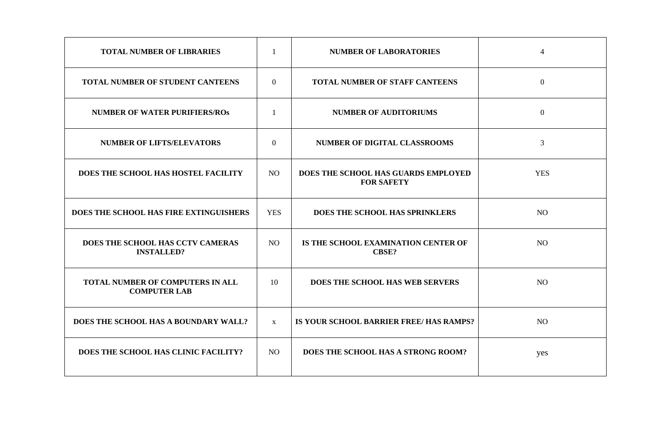| <b>TOTAL NUMBER OF LIBRARIES</b>                        |              | <b>NUMBER OF LABORATORIES</b>                            | 4              |
|---------------------------------------------------------|--------------|----------------------------------------------------------|----------------|
| <b>TOTAL NUMBER OF STUDENT CANTEENS</b>                 | $\theta$     | <b>TOTAL NUMBER OF STAFF CANTEENS</b>                    | $\overline{0}$ |
| <b>NUMBER OF WATER PURIFIERS/ROS</b>                    |              | <b>NUMBER OF AUDITORIUMS</b>                             | $\overline{0}$ |
| <b>NUMBER OF LIFTS/ELEVATORS</b>                        | $\theta$     | NUMBER OF DIGITAL CLASSROOMS                             | 3              |
| DOES THE SCHOOL HAS HOSTEL FACILITY                     | NO           | DOES THE SCHOOL HAS GUARDS EMPLOYED<br><b>FOR SAFETY</b> | <b>YES</b>     |
| DOES THE SCHOOL HAS FIRE EXTINGUISHERS                  | <b>YES</b>   | DOES THE SCHOOL HAS SPRINKLERS                           | NO             |
| DOES THE SCHOOL HAS CCTV CAMERAS<br><b>INSTALLED?</b>   | <b>NO</b>    | IS THE SCHOOL EXAMINATION CENTER OF<br><b>CBSE?</b>      | N <sub>O</sub> |
| TOTAL NUMBER OF COMPUTERS IN ALL<br><b>COMPUTER LAB</b> | 10           | DOES THE SCHOOL HAS WEB SERVERS                          | NO             |
| DOES THE SCHOOL HAS A BOUNDARY WALL?                    | $\mathbf{X}$ | IS YOUR SCHOOL BARRIER FREE/ HAS RAMPS?                  | <b>NO</b>      |
| DOES THE SCHOOL HAS CLINIC FACILITY?                    | <b>NO</b>    | DOES THE SCHOOL HAS A STRONG ROOM?                       | yes            |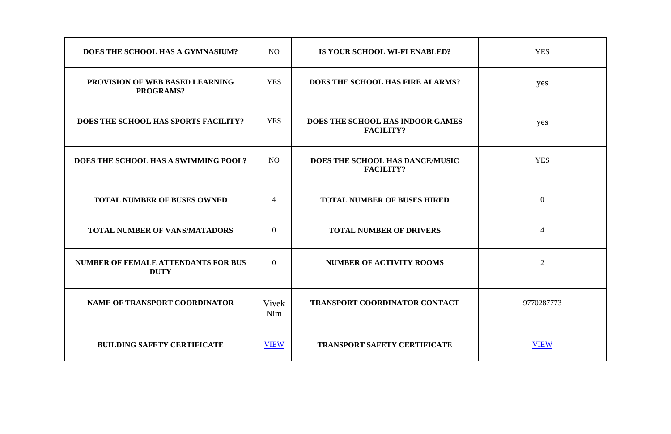| DOES THE SCHOOL HAS A GYMNASIUM?                           | NO             | IS YOUR SCHOOL WI-FI ENABLED?                        | <b>YES</b>     |
|------------------------------------------------------------|----------------|------------------------------------------------------|----------------|
| <b>PROVISION OF WEB BASED LEARNING</b><br><b>PROGRAMS?</b> | <b>YES</b>     | <b>DOES THE SCHOOL HAS FIRE ALARMS?</b>              | yes            |
| DOES THE SCHOOL HAS SPORTS FACILITY?                       | <b>YES</b>     | DOES THE SCHOOL HAS INDOOR GAMES<br><b>FACILITY?</b> | yes            |
| DOES THE SCHOOL HAS A SWIMMING POOL?                       | NO             | DOES THE SCHOOL HAS DANCE/MUSIC<br><b>FACILITY?</b>  | <b>YES</b>     |
| <b>TOTAL NUMBER OF BUSES OWNED</b>                         | $\overline{4}$ | <b>TOTAL NUMBER OF BUSES HIRED</b>                   | $\mathbf{0}$   |
| <b>TOTAL NUMBER OF VANS/MATADORS</b>                       | $\overline{0}$ | <b>TOTAL NUMBER OF DRIVERS</b>                       | $\overline{A}$ |
| <b>NUMBER OF FEMALE ATTENDANTS FOR BUS</b><br><b>DUTY</b>  | $\overline{0}$ | <b>NUMBER OF ACTIVITY ROOMS</b>                      | 2              |
| NAME OF TRANSPORT COORDINATOR                              | Vivek<br>Nim   | <b>TRANSPORT COORDINATOR CONTACT</b>                 | 9770287773     |
| <b>BUILDING SAFETY CERTIFICATE</b>                         | <b>VIEW</b>    | <b>TRANSPORT SAFETY CERTIFICATE</b>                  | <b>VIEW</b>    |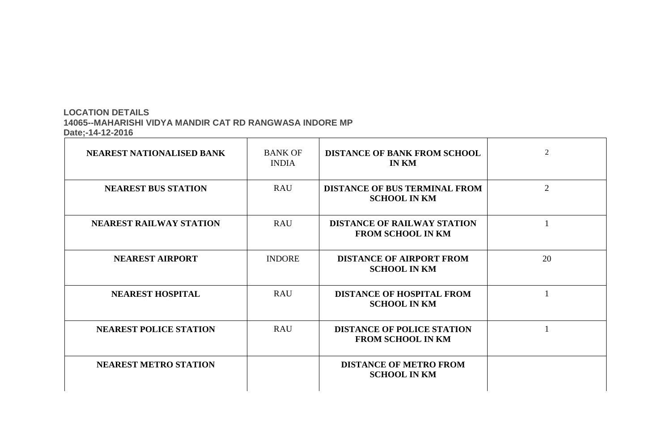# **LOCATION DETAILS 14065--MAHARISHI VIDYA MANDIR CAT RD RANGWASA INDORE MP Date;-14-12-2016**

| <b>NEAREST NATIONALISED BANK</b> | <b>BANK OF</b><br><b>INDIA</b> | <b>DISTANCE OF BANK FROM SCHOOL</b><br><b>IN KM</b>            | $\overline{2}$ |
|----------------------------------|--------------------------------|----------------------------------------------------------------|----------------|
| <b>NEAREST BUS STATION</b>       | <b>RAU</b>                     | <b>DISTANCE OF BUS TERMINAL FROM</b><br><b>SCHOOL IN KM</b>    | 2              |
| <b>NEAREST RAILWAY STATION</b>   | <b>RAU</b>                     | <b>DISTANCE OF RAILWAY STATION</b><br><b>FROM SCHOOL IN KM</b> |                |
| <b>NEAREST AIRPORT</b>           | <b>INDORE</b>                  | <b>DISTANCE OF AIRPORT FROM</b><br><b>SCHOOL IN KM</b>         | 20             |
| <b>NEAREST HOSPITAL</b>          | <b>RAU</b>                     | <b>DISTANCE OF HOSPITAL FROM</b><br><b>SCHOOL IN KM</b>        |                |
| <b>NEAREST POLICE STATION</b>    | <b>RAU</b>                     | <b>DISTANCE OF POLICE STATION</b><br><b>FROM SCHOOL IN KM</b>  |                |
| <b>NEAREST METRO STATION</b>     |                                | <b>DISTANCE OF METRO FROM</b><br><b>SCHOOL IN KM</b>           |                |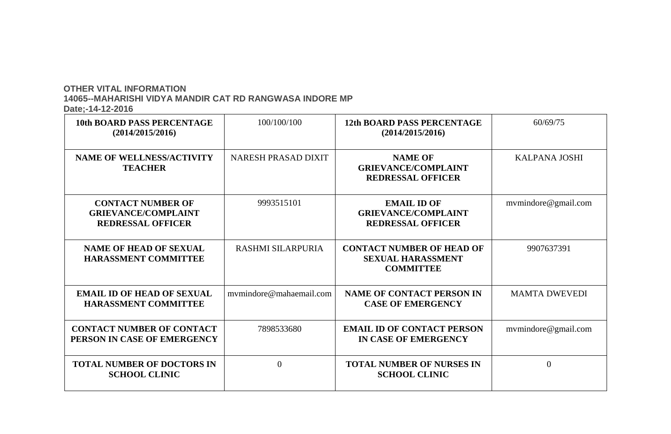# **OTHER VITAL INFORMATION**

 **14065--MAHARISHI VIDYA MANDIR CAT RD RANGWASA INDORE MP**

 **Date;-14-12-2016**

| <b>10th BOARD PASS PERCENTAGE</b><br>(2014/2015/2016)                              | 100/100/100                | <b>12th BOARD PASS PERCENTAGE</b><br>(2014/2015/2016)                            |
|------------------------------------------------------------------------------------|----------------------------|----------------------------------------------------------------------------------|
| <b>NAME OF WELLNESS/ACTIVITY</b><br><b>TEACHER</b>                                 | <b>NARESH PRASAD DIXIT</b> | <b>NAME OF</b><br><b>GRIEVANCE/COMPLAINT</b><br><b>REDRESSAL OFFICER</b>         |
| <b>CONTACT NUMBER OF</b><br><b>GRIEVANCE/COMPLAINT</b><br><b>REDRESSAL OFFICER</b> | 9993515101                 | <b>EMAIL ID OF</b><br><b>GRIEVANCE/COMPLAINT</b><br><b>REDRESSAL OFFICER</b>     |
| <b>NAME OF HEAD OF SEXUAL</b><br><b>HARASSMENT COMMITTEE</b>                       | RASHMI SILARPURIA          | <b>CONTACT NUMBER OF HEAD OF</b><br><b>SEXUAL HARASSMENT</b><br><b>COMMITTEE</b> |
| <b>EMAIL ID OF HEAD OF SEXUAL</b><br><b>HARASSMENT COMMITTEE</b>                   | mymindore@mahaemail.com    | <b>NAME OF CONTACT PERSON IN</b><br><b>CASE OF EMERGENCY</b>                     |
| <b>CONTACT NUMBER OF CONTACT</b><br>PERSON IN CASE OF EMERGENCY                    | 7898533680                 | <b>EMAIL ID OF CONTACT PERSON</b><br>IN CASE OF EMERGENCY                        |
| <b>TOTAL NUMBER OF DOCTORS IN</b><br><b>SCHOOL CLINIC</b>                          | $\theta$                   | <b>TOTAL NUMBER OF NURSES IN</b><br><b>SCHOOL CLINIC</b>                         |

| 60/69/75             |
|----------------------|
|                      |
|                      |
| <b>KALPANA JOSHI</b> |
|                      |
|                      |
|                      |
| mvmindore@gmail.com  |
|                      |
|                      |
|                      |
|                      |
| 9907637391           |
|                      |
|                      |
|                      |
| <b>MAMTA DWEVEDI</b> |
|                      |
|                      |
| mvmindore@gmail.com  |
|                      |
|                      |
| 0                    |
|                      |
|                      |
|                      |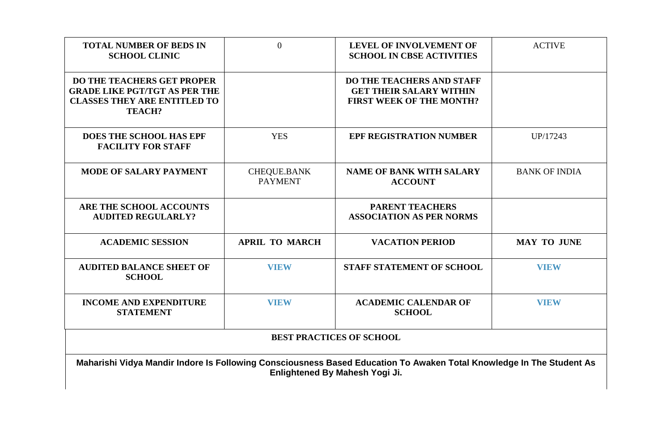| <b>TOTAL NUMBER OF BEDS IN</b><br><b>SCHOOL CLINIC</b>                                                                            | $\overline{0}$                       | <b>LEVEL OF INVOLVEMENT OF</b><br><b>SCHOOL IN CBSE ACTIVITIES</b>                                                                              | <b>ACTIV</b>     |
|-----------------------------------------------------------------------------------------------------------------------------------|--------------------------------------|-------------------------------------------------------------------------------------------------------------------------------------------------|------------------|
| <b>DO THE TEACHERS GET PROPER</b><br><b>GRADE LIKE PGT/TGT AS PER THE</b><br><b>CLASSES THEY ARE ENTITLED TO</b><br><b>TEACH?</b> |                                      | <b>DO THE TEACHERS AND STAFF</b><br><b>GET THEIR SALARY WITHIN</b><br><b>FIRST WEEK OF THE MONTH?</b>                                           |                  |
| <b>DOES THE SCHOOL HAS EPF</b><br><b>FACILITY FOR STAFF</b>                                                                       | <b>YES</b>                           | <b>EPF REGISTRATION NUMBER</b>                                                                                                                  | UP/1724          |
| <b>MODE OF SALARY PAYMENT</b>                                                                                                     | <b>CHEQUE.BANK</b><br><b>PAYMENT</b> | <b>NAME OF BANK WITH SALARY</b><br><b>ACCOUNT</b>                                                                                               | <b>BANK OF I</b> |
| ARE THE SCHOOL ACCOUNTS<br><b>AUDITED REGULARLY?</b>                                                                              |                                      | <b>PARENT TEACHERS</b><br><b>ASSOCIATION AS PER NORMS</b>                                                                                       |                  |
| <b>ACADEMIC SESSION</b>                                                                                                           | <b>APRIL TO MARCH</b>                | <b>VACATION PERIOD</b>                                                                                                                          | MAY TO .         |
| <b>AUDITED BALANCE SHEET OF</b><br><b>SCHOOL</b>                                                                                  | <b>VIEW</b>                          | <b>STAFF STATEMENT OF SCHOOL</b>                                                                                                                | VIEW             |
| <b>INCOME AND EXPENDITURE</b><br><b>STATEMENT</b>                                                                                 | <b>VIEW</b>                          | <b>ACADEMIC CALENDAR OF</b><br><b>SCHOOL</b>                                                                                                    | VIEW             |
|                                                                                                                                   |                                      | <b>BEST PRACTICES OF SCHOOL</b>                                                                                                                 |                  |
|                                                                                                                                   |                                      | Maharishi Vidya Mandir Indore Is Following Consciousness Based Education To Awaken Total Knowledge In The Stu<br>Enlightened By Mahesh Yogi Ji. |                  |